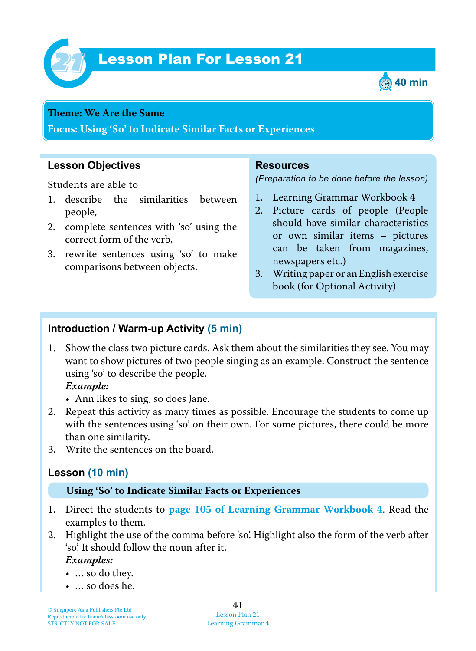

# **Lesson Plan For Lesson 21**



#### **Theme : We Are the Same**

**Focus: Using 'So' to Indicate Similar Facts or Experiences**

## **Lesson Objectives**

Students are able to

- 1. describe the similarities between people,
- 2. complete sentences with 'so' using the correct form of the verb,
- 3. rewrite sentences using 'so' to make comparisons between objects.

#### **Resources**

*(Preparation to be done before the lesson)*

- 1. Learning Grammar Workbook 4
- 2. Picture cards of people (People should have similar characteristics or own similar items – pictures can be taken from magazines, newspapers etc.)
- 3. Writing paper or an English exercise book (for Optional Activity)

# **Introduction / Warm-up Activity (5 min)**

1. Show the class two picture cards. Ask them about the similarities they see. You may want to show pictures of two people singing as an example. Construct the sentence using 'so' to describe the people.

#### *Example:*

- Ann likes to sing, so does Jane.
- 2. Repeat this activity as many times as possible. Encourage the students to come up with the sentences using 'so' on their own. For some pictures, there could be more than one similarity.
- 3. Write the sentences on the board.

## **Lesson (10 min)**

#### **Using 'So' to Indicate Similar Facts or Experiences**

- 1. Direct the students to **page 105 of Learning Grammar Workbook 4**. Read the examples to them.
- 2. Highlight the use of the comma before 'so'. Highlight also the form of the verb after 'so'. It should follow the noun after it.

 *Examples:*

- … so do they.
- … so does he.